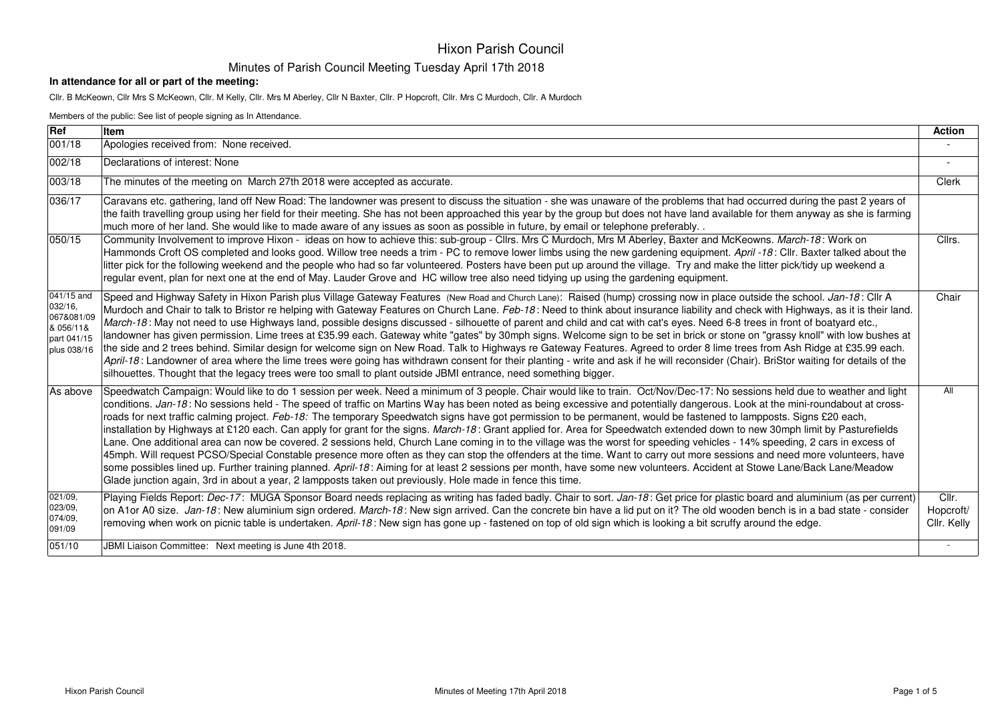#### Minutes of Parish Council Meeting Tuesday April 17th 2018

#### **In attendance for all or part of the meeting:**

Cllr. B McKeown, Cllr Mrs S McKeown, Cllr. M Kelly, Cllr. Mrs M Aberley, Cllr N Baxter, Cllr. P Hopcroft, Cllr. Mrs C Murdoch, Cllr. A Murdoch

|                                                                                | Members of the public: See list of people signing as In Attendance.                                                                                                                                                                                                                                                                                                                                                                                                                                                                                                                                                                                                                                                                                                                                                                                                                                                                                                                                                                                                                                                                                                                                                                                                                                                                                                      |                                   |  |
|--------------------------------------------------------------------------------|--------------------------------------------------------------------------------------------------------------------------------------------------------------------------------------------------------------------------------------------------------------------------------------------------------------------------------------------------------------------------------------------------------------------------------------------------------------------------------------------------------------------------------------------------------------------------------------------------------------------------------------------------------------------------------------------------------------------------------------------------------------------------------------------------------------------------------------------------------------------------------------------------------------------------------------------------------------------------------------------------------------------------------------------------------------------------------------------------------------------------------------------------------------------------------------------------------------------------------------------------------------------------------------------------------------------------------------------------------------------------|-----------------------------------|--|
| Ref                                                                            | <b>Item</b>                                                                                                                                                                                                                                                                                                                                                                                                                                                                                                                                                                                                                                                                                                                                                                                                                                                                                                                                                                                                                                                                                                                                                                                                                                                                                                                                                              | <b>Action</b>                     |  |
| 001/18                                                                         | Apologies received from: None received.                                                                                                                                                                                                                                                                                                                                                                                                                                                                                                                                                                                                                                                                                                                                                                                                                                                                                                                                                                                                                                                                                                                                                                                                                                                                                                                                  |                                   |  |
| 002/18                                                                         | Declarations of interest: None                                                                                                                                                                                                                                                                                                                                                                                                                                                                                                                                                                                                                                                                                                                                                                                                                                                                                                                                                                                                                                                                                                                                                                                                                                                                                                                                           | $\overline{\phantom{a}}$          |  |
| 003/18                                                                         | The minutes of the meeting on March 27th 2018 were accepted as accurate.                                                                                                                                                                                                                                                                                                                                                                                                                                                                                                                                                                                                                                                                                                                                                                                                                                                                                                                                                                                                                                                                                                                                                                                                                                                                                                 | Clerk                             |  |
| 036/17                                                                         | Caravans etc. gathering, land off New Road: The landowner was present to discuss the situation - she was unaware of the problems that had occurred during the past 2 years of<br>the faith travelling group using her field for their meeting. She has not been approached this year by the group but does not have land available for them anyway as she is farming<br>much more of her land. She would like to made aware of any issues as soon as possible in future, by email or telephone preferably                                                                                                                                                                                                                                                                                                                                                                                                                                                                                                                                                                                                                                                                                                                                                                                                                                                                |                                   |  |
| 050/15                                                                         | Community Involvement to improve Hixon - ideas on how to achieve this: sub-group - Cllrs. Mrs C Murdoch, Mrs M Aberley, Baxter and McKeowns. March-18: Work on<br>Hammonds Croft OS completed and looks good. Willow tree needs a trim - PC to remove lower limbs using the new gardening equipment. April -18: Cllr. Baxter talked about the<br>litter pick for the following weekend and the people who had so far volunteered. Posters have been put up around the village. Try and make the litter pick/tidy up weekend a<br>regular event, plan for next one at the end of May. Lauder Grove and HC willow tree also need tidying up using the gardening equipment.                                                                                                                                                                                                                                                                                                                                                                                                                                                                                                                                                                                                                                                                                                 | Cllrs.                            |  |
| 041/15 and<br>032/16,<br>067&081/09<br>& 056/11&<br>part 041/15<br>plus 038/16 | Speed and Highway Safety in Hixon Parish plus Village Gateway Features (New Road and Church Lane): Raised (hump) crossing now in place outside the school. Jan-18: Cllr A<br>Murdoch and Chair to talk to Bristor re helping with Gateway Features on Church Lane. Feb-18: Need to think about insurance liability and check with Highways, as it is their land.<br>March-18: May not need to use Highways land, possible designs discussed - silhouette of parent and child and cat with cat's eyes. Need 6-8 trees in front of boatyard etc.,<br>landowner has given permission. Lime trees at £35.99 each. Gateway white "gates" by 30mph signs. Welcome sign to be set in brick or stone on "grassy knoll" with low bushes at<br>the side and 2 trees behind. Similar design for welcome sign on New Road. Talk to Highways re Gateway Features. Agreed to order 8 lime trees from Ash Ridge at £35.99 each.<br>April-18: Landowner of area where the lime trees were going has withdrawn consent for their planting - write and ask if he will reconsider (Chair). BriStor waiting for details of the<br>silhouettes. Thought that the legacy trees were too small to plant outside JBMI entrance, need something bigger.                                                                                                                                           | Chair                             |  |
| As above                                                                       | Speedwatch Campaign: Would like to do 1 session per week. Need a minimum of 3 people. Chair would like to train. Oct/Nov/Dec-17: No sessions held due to weather and light<br>conditions. Jan-18: No sessions held - The speed of traffic on Martins Way has been noted as being excessive and potentially dangerous. Look at the mini-roundabout at cross-<br>roads for next traffic calming project. Feb-18: The temporary Speedwatch signs have got permission to be permanent, would be fastened to lampposts. Signs £20 each,<br>installation by Highways at £120 each. Can apply for grant for the signs. March-18: Grant applied for. Area for Speedwatch extended down to new 30mph limit by Pasturefields<br>Lane. One additional area can now be covered. 2 sessions held, Church Lane coming in to the village was the worst for speeding vehicles - 14% speeding, 2 cars in excess of<br>45mph. Will request PCSO/Special Constable presence more often as they can stop the offenders at the time. Want to carry out more sessions and need more volunteers, have<br>some possibles lined up. Further training planned. April-18: Aiming for at least 2 sessions per month, have some new volunteers. Accident at Stowe Lane/Back Lane/Meadow<br>Glade junction again, 3rd in about a year, 2 lampposts taken out previously. Hole made in fence this time. | All                               |  |
| 021/09,<br>023/09,<br>074/09,<br>091/09                                        | Playing Fields Report: Dec-17: MUGA Sponsor Board needs replacing as writing has faded badly. Chair to sort. Jan-18: Get price for plastic board and aluminium (as per current)<br>on A1or A0 size. Jan-18: New aluminium sign ordered. March-18: New sign arrived. Can the concrete bin have a lid put on it? The old wooden bench is in a bad state - consider<br>removing when work on picnic table is undertaken. April-18: New sign has gone up - fastened on top of old sign which is looking a bit scruffy around the edge.                                                                                                                                                                                                                                                                                                                                                                                                                                                                                                                                                                                                                                                                                                                                                                                                                                       | Cllr.<br>Hopcroft/<br>Cllr. Kelly |  |
| 051/10                                                                         | JBMI Liaison Committee: Next meeting is June 4th 2018.                                                                                                                                                                                                                                                                                                                                                                                                                                                                                                                                                                                                                                                                                                                                                                                                                                                                                                                                                                                                                                                                                                                                                                                                                                                                                                                   | $\sim$                            |  |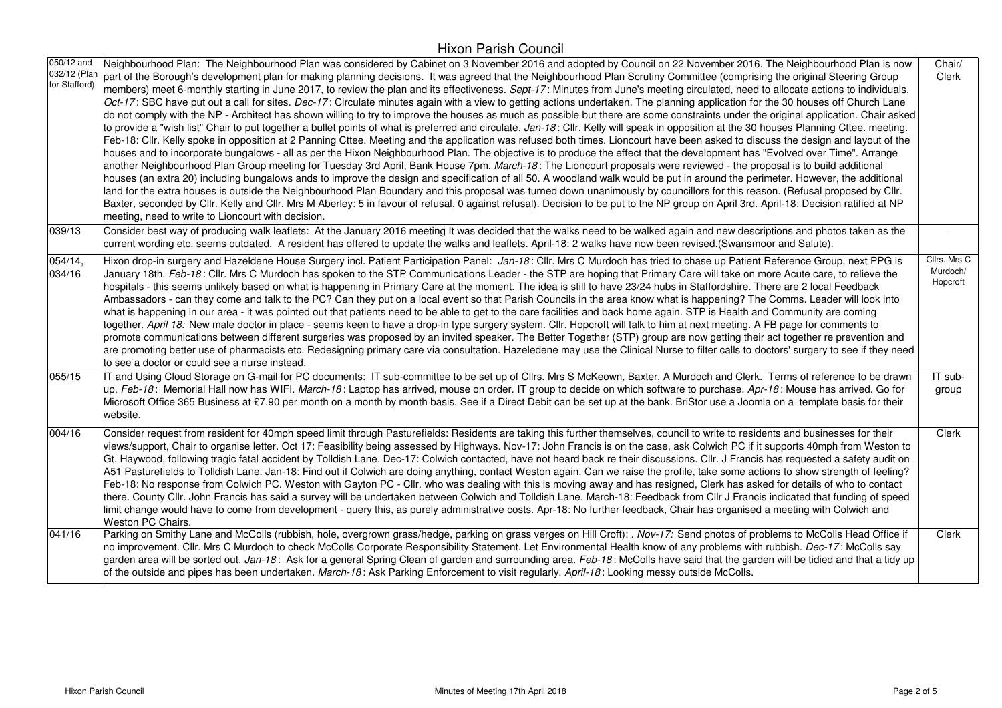| 050/12 and<br>032/12 (Plan<br>for Stafford) | Neighbourhood Plan: The Neighbourhood Plan was considered by Cabinet on 3 November 2016 and adopted by Council on 22 November 2016. The Neighbourhood Plan is now<br>part of the Borough's development plan for making planning decisions. It was agreed that the Neighbourhood Plan Scrutiny Committee (comprising the original Steering Group<br>members) meet 6-monthly starting in June 2017, to review the plan and its effectiveness. Sept-17: Minutes from June's meeting circulated, need to allocate actions to individuals.<br>Oct-17: SBC have put out a call for sites. Dec-17: Circulate minutes again with a view to getting actions undertaken. The planning application for the 30 houses off Church Lane<br>do not comply with the NP - Architect has shown willing to try to improve the houses as much as possible but there are some constraints under the original application. Chair asked<br>to provide a "wish list" Chair to put together a bullet points of what is preferred and circulate. Jan-18: Cllr. Kelly will speak in opposition at the 30 houses Planning Cttee. meeting.<br>Feb-18: Cllr. Kelly spoke in opposition at 2 Panning Cttee. Meeting and the application was refused both times. Lioncourt have been asked to discuss the design and layout of the<br>houses and to incorporate bungalows - all as per the Hixon Neighbourhood Plan. The objective is to produce the effect that the development has "Evolved over Time". Arrange<br>another Neighbourhood Plan Group meeting for Tuesday 3rd April, Bank House 7pm. March-18: The Lioncourt proposals were reviewed - the proposal is to build additional<br>houses (an extra 20) including bungalows ands to improve the design and specification of all 50. A woodland walk would be put in around the perimeter. However, the additional<br>land for the extra houses is outside the Neighbourhood Plan Boundary and this proposal was turned down unanimously by councillors for this reason. (Refusal proposed by Cllr.<br>Baxter, seconded by Cllr. Kelly and Cllr. Mrs M Aberley: 5 in favour of refusal, 0 against refusal). Decision to be put to the NP group on April 3rd. April-18: Decision ratified at NP<br>meeting, need to write to Lioncourt with decision. | Chair/<br>Clerk                      |
|---------------------------------------------|--------------------------------------------------------------------------------------------------------------------------------------------------------------------------------------------------------------------------------------------------------------------------------------------------------------------------------------------------------------------------------------------------------------------------------------------------------------------------------------------------------------------------------------------------------------------------------------------------------------------------------------------------------------------------------------------------------------------------------------------------------------------------------------------------------------------------------------------------------------------------------------------------------------------------------------------------------------------------------------------------------------------------------------------------------------------------------------------------------------------------------------------------------------------------------------------------------------------------------------------------------------------------------------------------------------------------------------------------------------------------------------------------------------------------------------------------------------------------------------------------------------------------------------------------------------------------------------------------------------------------------------------------------------------------------------------------------------------------------------------------------------------------------------------------------------------------------------------------------------------------------------------------------------------------------------------------------------------------------------------------------------------------------------------------------------------------------------------------------------------------------------------------------------------------------------------------------------------------------------------------------------------------------|--------------------------------------|
| 039/13                                      | Consider best way of producing walk leaflets: At the January 2016 meeting It was decided that the walks need to be walked again and new descriptions and photos taken as the<br>current wording etc. seems outdated. A resident has offered to update the walks and leaflets. April-18: 2 walks have now been revised. (Swansmoor and Salute).                                                                                                                                                                                                                                                                                                                                                                                                                                                                                                                                                                                                                                                                                                                                                                                                                                                                                                                                                                                                                                                                                                                                                                                                                                                                                                                                                                                                                                                                                                                                                                                                                                                                                                                                                                                                                                                                                                                                 |                                      |
| 054/14,<br>034/16                           | Hixon drop-in surgery and Hazeldene House Surgery incl. Patient Participation Panel: Jan-18: Cllr. Mrs C Murdoch has tried to chase up Patient Reference Group, next PPG is<br>January 18th. Feb-18: Cllr. Mrs C Murdoch has spoken to the STP Communications Leader - the STP are hoping that Primary Care will take on more Acute care, to relieve the<br>hospitals - this seems unlikely based on what is happening in Primary Care at the moment. The idea is still to have 23/24 hubs in Staffordshire. There are 2 local Feedback<br>Ambassadors - can they come and talk to the PC? Can they put on a local event so that Parish Councils in the area know what is happening? The Comms. Leader will look into<br>what is happening in our area - it was pointed out that patients need to be able to get to the care facilities and back home again. STP is Health and Community are coming<br>together. April 18: New male doctor in place - seems keen to have a drop-in type surgery system. Cllr. Hopcroft will talk to him at next meeting. A FB page for comments to<br>promote communications between different surgeries was proposed by an invited speaker. The Better Together (STP) group are now getting their act together re prevention and<br>are promoting better use of pharmacists etc. Redesigning primary care via consultation. Hazeledene may use the Clinical Nurse to filter calls to doctors' surgery to see if they need<br>to see a doctor or could see a nurse instead.                                                                                                                                                                                                                                                                                                                                                                                                                                                                                                                                                                                                                                                                                                                                                                    | Cllrs. Mrs C<br>Murdoch/<br>Hopcroft |
| 055/15                                      | IT and Using Cloud Storage on G-mail for PC documents: IT sub-committee to be set up of Cllrs. Mrs S McKeown, Baxter, A Murdoch and Clerk. Terms of reference to be drawn<br>up. Feb-18: Memorial Hall now has WIFI. March-18: Laptop has arrived, mouse on order. IT group to decide on which software to purchase. Apr-18: Mouse has arrived. Go for<br>Microsoft Office 365 Business at £7.90 per month on a month by month basis. See if a Direct Debit can be set up at the bank. BriStor use a Joomla on a template basis for their<br>website.                                                                                                                                                                                                                                                                                                                                                                                                                                                                                                                                                                                                                                                                                                                                                                                                                                                                                                                                                                                                                                                                                                                                                                                                                                                                                                                                                                                                                                                                                                                                                                                                                                                                                                                          | IT sub-<br>group                     |
| 004/16                                      | Consider request from resident for 40mph speed limit through Pasturefields: Residents are taking this further themselves, council to write to residents and businesses for their<br>views/support, Chair to organise letter. Oct 17: Feasibility being assessed by Highways. Nov-17: John Francis is on the case, ask Colwich PC if it supports 40mph from Weston to<br>Gt. Haywood, following tragic fatal accident by Tolldish Lane. Dec-17: Colwich contacted, have not heard back re their discussions. Cllr. J Francis has requested a safety audit on<br>A51 Pasturefields to Tolldish Lane. Jan-18: Find out if Colwich are doing anything, contact Weston again. Can we raise the profile, take some actions to show strength of feeling?<br>Feb-18: No response from Colwich PC. Weston with Gayton PC - Cllr. who was dealing with this is moving away and has resigned, Clerk has asked for details of who to contact<br>there. County Cllr. John Francis has said a survey will be undertaken between Colwich and Tolldish Lane. March-18: Feedback from Cllr J Francis indicated that funding of speed<br>limit change would have to come from development - query this, as purely administrative costs. Apr-18: No further feedback, Chair has organised a meeting with Colwich and<br>Weston PC Chairs.                                                                                                                                                                                                                                                                                                                                                                                                                                                                                                                                                                                                                                                                                                                                                                                                                                                                                                                                                         | Clerk                                |
| 041/16                                      | Parking on Smithy Lane and McColls (rubbish, hole, overgrown grass/hedge, parking on grass verges on Hill Croft): . Nov-17: Send photos of problems to McColls Head Office if<br>no improvement. Cllr. Mrs C Murdoch to check McColls Corporate Responsibility Statement. Let Environmental Health know of any problems with rubbish. Dec-17: McColls say<br>garden area will be sorted out. Jan-18: Ask for a general Spring Clean of garden and surrounding area. Feb-18: McColls have said that the garden will be tidied and that a tidy up<br>of the outside and pipes has been undertaken. March-18: Ask Parking Enforcement to visit regularly. April-18: Looking messy outside McColls.                                                                                                                                                                                                                                                                                                                                                                                                                                                                                                                                                                                                                                                                                                                                                                                                                                                                                                                                                                                                                                                                                                                                                                                                                                                                                                                                                                                                                                                                                                                                                                                | Clerk                                |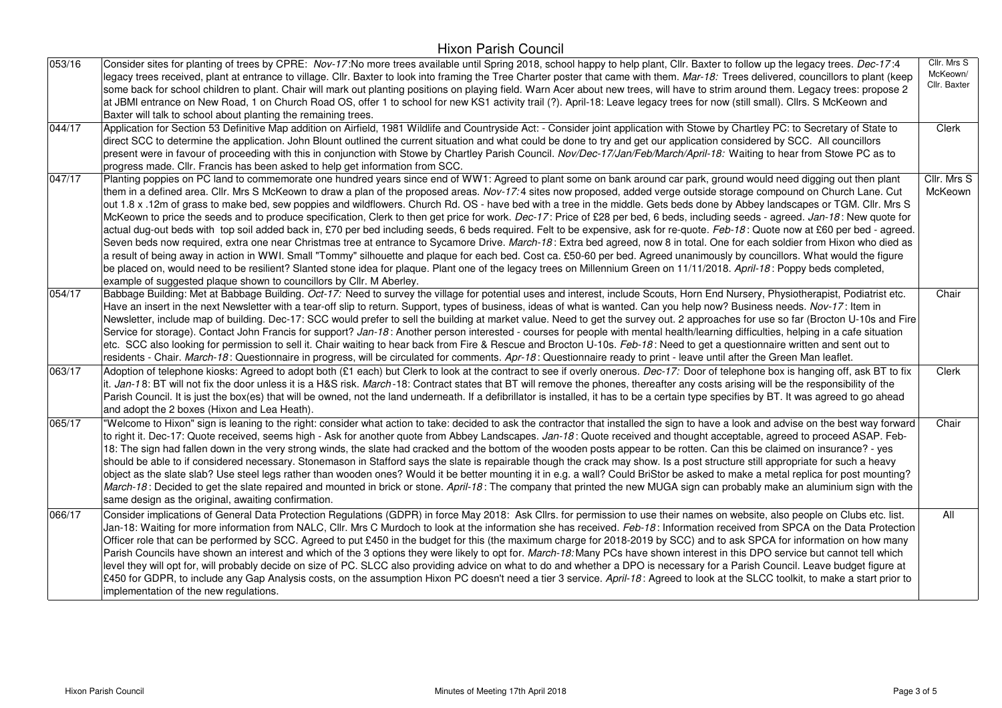| 053/16 | Consider sites for planting of trees by CPRE: Nov-17:No more trees available until Spring 2018, school happy to help plant, Cllr. Baxter to follow up the legacy trees. Dec-17:4<br>legacy trees received, plant at entrance to village. Cllr. Baxter to look into framing the Tree Charter poster that came with them. Mar-18: Trees delivered, councillors to plant (keep<br>some back for school children to plant. Chair will mark out planting positions on playing field. Warn Acer about new trees, will have to strim around them. Legacy trees: propose 2<br>at JBMI entrance on New Road, 1 on Church Road OS, offer 1 to school for new KS1 activity trail (?). April-18: Leave legacy trees for now (still small). Clirs. S McKeown and<br>Baxter will talk to school about planting the remaining trees.                                                                                                                                                                                                                                                                                                                                                                                                                                                                                                                                                                                                                                                                                                           | Cllr. Mrs S<br>McKeown/<br>Cllr. Baxter |
|--------|---------------------------------------------------------------------------------------------------------------------------------------------------------------------------------------------------------------------------------------------------------------------------------------------------------------------------------------------------------------------------------------------------------------------------------------------------------------------------------------------------------------------------------------------------------------------------------------------------------------------------------------------------------------------------------------------------------------------------------------------------------------------------------------------------------------------------------------------------------------------------------------------------------------------------------------------------------------------------------------------------------------------------------------------------------------------------------------------------------------------------------------------------------------------------------------------------------------------------------------------------------------------------------------------------------------------------------------------------------------------------------------------------------------------------------------------------------------------------------------------------------------------------------|-----------------------------------------|
| 044/17 | Application for Section 53 Definitive Map addition on Airfield, 1981 Wildlife and Countryside Act: - Consider joint application with Stowe by Chartley PC: to Secretary of State to<br>direct SCC to determine the application. John Blount outlined the current situation and what could be done to try and get our application considered by SCC. All councillors<br>present were in favour of proceeding with this in conjunction with Stowe by Chartley Parish Council. Nov/Dec-17/Jan/Feb/March/April-18: Waiting to hear from Stowe PC as to<br>progress made. Cllr. Francis has been asked to help get information from SCC.                                                                                                                                                                                                                                                                                                                                                                                                                                                                                                                                                                                                                                                                                                                                                                                                                                                                                             | Clerk                                   |
| 047/17 | Planting poppies on PC land to commemorate one hundred years since end of WW1: Agreed to plant some on bank around car park, ground would need digging out then plant<br>them in a defined area. Cllr. Mrs S McKeown to draw a plan of the proposed areas. Nov-17:4 sites now proposed, added verge outside storage compound on Church Lane. Cut<br>out 1.8 x .12m of grass to make bed, sew poppies and wildflowers. Church Rd. OS - have bed with a tree in the middle. Gets beds done by Abbey landscapes or TGM. Cllr. Mrs S<br>McKeown to price the seeds and to produce specification, Clerk to then get price for work. Dec-17: Price of £28 per bed, 6 beds, including seeds - agreed. Jan-18: New quote for<br>actual dug-out beds with top soil added back in, £70 per bed including seeds, 6 beds required. Felt to be expensive, ask for re-quote. Feb-18: Quote now at £60 per bed - agreed.<br>Seven beds now required, extra one near Christmas tree at entrance to Sycamore Drive. March-18: Extra bed agreed, now 8 in total. One for each soldier from Hixon who died as<br>a result of being away in action in WWI. Small "Tommy" silhouette and plaque for each bed. Cost ca. £50-60 per bed. Agreed unanimously by councillors. What would the figure<br>be placed on, would need to be resilient? Slanted stone idea for plaque. Plant one of the legacy trees on Millennium Green on 11/11/2018. April-18: Poppy beds completed,<br>example of suggested plaque shown to councillors by Cllr. M Aberley. | Cllr. Mrs S<br>McKeown                  |
| 054/17 | Babbage Building: Met at Babbage Building. Oct-17: Need to survey the village for potential uses and interest, include Scouts, Horn End Nursery, Physiotherapist, Podiatrist etc.<br>Have an insert in the next Newsletter with a tear-off slip to return. Support, types of business, ideas of what is wanted. Can you help now? Business needs. Nov-17: Item in<br>Newsletter, include map of building. Dec-17: SCC would prefer to sell the building at market value. Need to get the survey out. 2 approaches for use so far (Brocton U-10s and Fire<br>Service for storage). Contact John Francis for support? Jan-18: Another person interested - courses for people with mental health/learning difficulties, helping in a cafe situation<br>etc. SCC also looking for permission to sell it. Chair waiting to hear back from Fire & Rescue and Brocton U-10s. Feb-18: Need to get a questionnaire written and sent out to<br>residents - Chair. March-18: Questionnaire in progress, will be circulated for comments. Apr-18: Questionnaire ready to print - leave until after the Green Man leaflet.                                                                                                                                                                                                                                                                                                                                                                                                                   | Chair                                   |
| 063/17 | Adoption of telephone kiosks: Agreed to adopt both (£1 each) but Clerk to look at the contract to see if overly onerous. Dec-17: Door of telephone box is hanging off, ask BT to fix<br>it. Jan-18: BT will not fix the door unless it is a H&S risk. March-18: Contract states that BT will remove the phones, thereafter any costs arising will be the responsibility of the<br>Parish Council. It is just the box(es) that will be owned, not the land underneath. If a defibrillator is installed, it has to be a certain type specifies by BT. It was agreed to go ahead<br>and adopt the 2 boxes (Hixon and Lea Heath).                                                                                                                                                                                                                                                                                                                                                                                                                                                                                                                                                                                                                                                                                                                                                                                                                                                                                                   | Clerk                                   |
| 065/17 | "Welcome to Hixon" sign is leaning to the right: consider what action to take: decided to ask the contractor that installed the sign to have a look and advise on the best way forward<br>to right it. Dec-17: Quote received, seems high - Ask for another quote from Abbey Landscapes. Jan-18: Quote received and thought acceptable, agreed to proceed ASAP. Feb-<br>18: The sign had fallen down in the very strong winds, the slate had cracked and the bottom of the wooden posts appear to be rotten. Can this be claimed on insurance? - yes<br>should be able to if considered necessary. Stonemason in Stafford says the slate is repairable though the crack may show. Is a post structure still appropriate for such a heavy<br>object as the slate slab? Use steel legs rather than wooden ones? Would it be better mounting it in e.g. a wall? Could BriStor be asked to make a metal replica for post mounting?<br>March-18: Decided to get the slate repaired and mounted in brick or stone. April-18: The company that printed the new MUGA sign can probably make an aluminium sign with the<br>same design as the original, awaiting confirmation.                                                                                                                                                                                                                                                                                                                                                           | Chair                                   |
| 066/17 | Consider implications of General Data Protection Regulations (GDPR) in force May 2018: Ask Cllrs. for permission to use their names on website, also people on Clubs etc. list.<br>Jan-18: Waiting for more information from NALC, Cllr. Mrs C Murdoch to look at the information she has received. Feb-18: Information received from SPCA on the Data Protection<br>Officer role that can be performed by SCC. Agreed to put £450 in the budget for this (the maximum charge for 2018-2019 by SCC) and to ask SPCA for information on how many<br>Parish Councils have shown an interest and which of the 3 options they were likely to opt for. March-18: Many PCs have shown interest in this DPO service but cannot tell which<br>level they will opt for, will probably decide on size of PC. SLCC also providing advice on what to do and whether a DPO is necessary for a Parish Council. Leave budget figure at<br>£450 for GDPR, to include any Gap Analysis costs, on the assumption Hixon PC doesn't need a tier 3 service. April-18: Agreed to look at the SLCC toolkit, to make a start prior to<br>implementation of the new regulations.                                                                                                                                                                                                                                                                                                                                                                         | All                                     |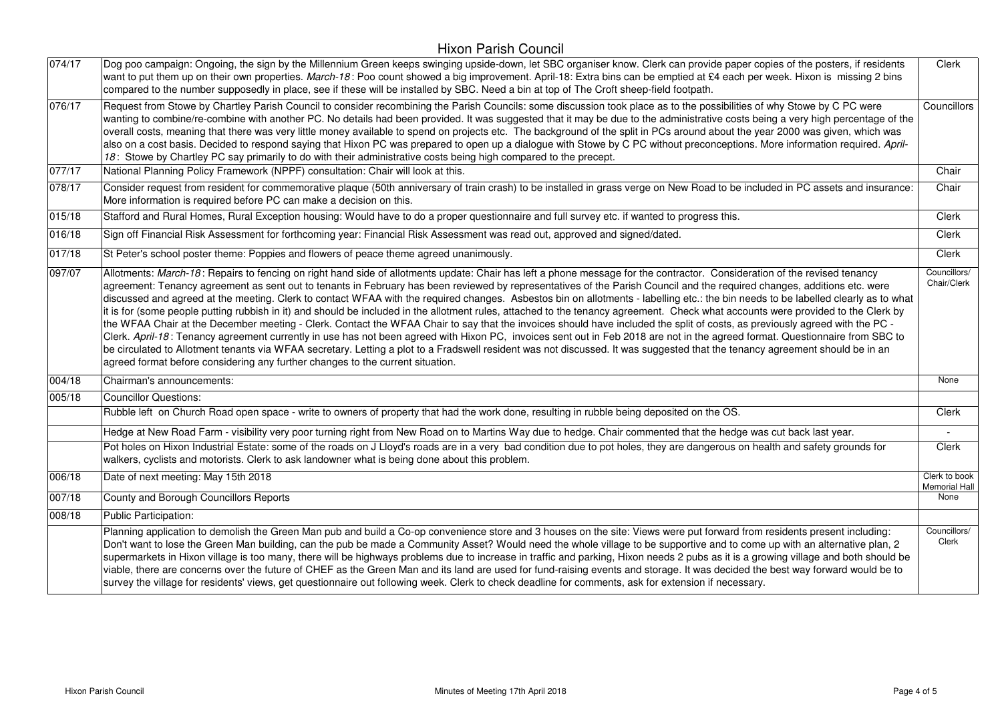| 074/17 | Dog poo campaign: Ongoing, the sign by the Millennium Green keeps swinging upside-down, let SBC organiser know. Clerk can provide paper copies of the posters, if residents<br>want to put them up on their own properties. March-18: Poo count showed a big improvement. April-18: Extra bins can be emptied at £4 each per week. Hixon is missing 2 bins<br>compared to the number supposedly in place, see if these will be installed by SBC. Need a bin at top of The Croft sheep-field footpath.                                                                                                                                                                                                                                                                                                                                                                                                                                                                                                                                                                                                                                                                                                                                                                                                                                                             | Clerk                                 |
|--------|-------------------------------------------------------------------------------------------------------------------------------------------------------------------------------------------------------------------------------------------------------------------------------------------------------------------------------------------------------------------------------------------------------------------------------------------------------------------------------------------------------------------------------------------------------------------------------------------------------------------------------------------------------------------------------------------------------------------------------------------------------------------------------------------------------------------------------------------------------------------------------------------------------------------------------------------------------------------------------------------------------------------------------------------------------------------------------------------------------------------------------------------------------------------------------------------------------------------------------------------------------------------------------------------------------------------------------------------------------------------|---------------------------------------|
| 076/17 | Request from Stowe by Chartley Parish Council to consider recombining the Parish Councils: some discussion took place as to the possibilities of why Stowe by C PC were<br>wanting to combine/re-combine with another PC. No details had been provided. It was suggested that it may be due to the administrative costs being a very high percentage of the<br>overall costs, meaning that there was very little money available to spend on projects etc. The background of the split in PCs around about the year 2000 was given, which was<br>also on a cost basis. Decided to respond saying that Hixon PC was prepared to open up a dialogue with Stowe by C PC without preconceptions. More information required. April-<br>18: Stowe by Chartley PC say primarily to do with their administrative costs being high compared to the precept.                                                                                                                                                                                                                                                                                                                                                                                                                                                                                                                | Councillors                           |
| 077/17 | National Planning Policy Framework (NPPF) consultation: Chair will look at this.                                                                                                                                                                                                                                                                                                                                                                                                                                                                                                                                                                                                                                                                                                                                                                                                                                                                                                                                                                                                                                                                                                                                                                                                                                                                                  | Chair                                 |
| 078/17 | Consider request from resident for commemorative plaque (50th anniversary of train crash) to be installed in grass verge on New Road to be included in PC assets and insurance:<br>More information is required before PC can make a decision on this.                                                                                                                                                                                                                                                                                                                                                                                                                                                                                                                                                                                                                                                                                                                                                                                                                                                                                                                                                                                                                                                                                                            | Chair                                 |
| 015/18 | Stafford and Rural Homes, Rural Exception housing: Would have to do a proper questionnaire and full survey etc. if wanted to progress this.                                                                                                                                                                                                                                                                                                                                                                                                                                                                                                                                                                                                                                                                                                                                                                                                                                                                                                                                                                                                                                                                                                                                                                                                                       | Clerk                                 |
| 016/18 | Sign off Financial Risk Assessment for forthcoming year: Financial Risk Assessment was read out, approved and signed/dated.                                                                                                                                                                                                                                                                                                                                                                                                                                                                                                                                                                                                                                                                                                                                                                                                                                                                                                                                                                                                                                                                                                                                                                                                                                       | Clerk                                 |
| 017/18 | St Peter's school poster theme: Poppies and flowers of peace theme agreed unanimously.                                                                                                                                                                                                                                                                                                                                                                                                                                                                                                                                                                                                                                                                                                                                                                                                                                                                                                                                                                                                                                                                                                                                                                                                                                                                            | Clerk                                 |
| 097/07 | Allotments: March-18: Repairs to fencing on right hand side of allotments update: Chair has left a phone message for the contractor. Consideration of the revised tenancy<br>agreement: Tenancy agreement as sent out to tenants in February has been reviewed by representatives of the Parish Council and the required changes, additions etc. were<br>discussed and agreed at the meeting. Clerk to contact WFAA with the required changes. Asbestos bin on allotments - labelling etc.: the bin needs to be labelled clearly as to what<br>it is for (some people putting rubbish in it) and should be included in the allotment rules, attached to the tenancy agreement. Check what accounts were provided to the Clerk by<br>the WFAA Chair at the December meeting - Clerk. Contact the WFAA Chair to say that the invoices should have included the split of costs, as previously agreed with the PC -<br>Clerk. April-18: Tenancy agreement currently in use has not been agreed with Hixon PC, invoices sent out in Feb 2018 are not in the agreed format. Questionnaire from SBC to<br>be circulated to Allotment tenants via WFAA secretary. Letting a plot to a Fradswell resident was not discussed. It was suggested that the tenancy agreement should be in an<br>agreed format before considering any further changes to the current situation. | Councillors/<br>Chair/Clerk           |
| 004/18 | Chairman's announcements:                                                                                                                                                                                                                                                                                                                                                                                                                                                                                                                                                                                                                                                                                                                                                                                                                                                                                                                                                                                                                                                                                                                                                                                                                                                                                                                                         | None                                  |
| 005/18 | <b>Councillor Questions:</b>                                                                                                                                                                                                                                                                                                                                                                                                                                                                                                                                                                                                                                                                                                                                                                                                                                                                                                                                                                                                                                                                                                                                                                                                                                                                                                                                      |                                       |
|        | Rubble left on Church Road open space - write to owners of property that had the work done, resulting in rubble being deposited on the OS.                                                                                                                                                                                                                                                                                                                                                                                                                                                                                                                                                                                                                                                                                                                                                                                                                                                                                                                                                                                                                                                                                                                                                                                                                        | Clerk                                 |
|        | Hedge at New Road Farm - visibility very poor turning right from New Road on to Martins Way due to hedge. Chair commented that the hedge was cut back last year.                                                                                                                                                                                                                                                                                                                                                                                                                                                                                                                                                                                                                                                                                                                                                                                                                                                                                                                                                                                                                                                                                                                                                                                                  |                                       |
|        | Pot holes on Hixon Industrial Estate: some of the roads on J Lloyd's roads are in a very bad condition due to pot holes, they are dangerous on health and safety grounds for<br>walkers, cyclists and motorists. Clerk to ask landowner what is being done about this problem.                                                                                                                                                                                                                                                                                                                                                                                                                                                                                                                                                                                                                                                                                                                                                                                                                                                                                                                                                                                                                                                                                    | Clerk                                 |
| 006/18 | Date of next meeting: May 15th 2018                                                                                                                                                                                                                                                                                                                                                                                                                                                                                                                                                                                                                                                                                                                                                                                                                                                                                                                                                                                                                                                                                                                                                                                                                                                                                                                               | Clerk to book<br><b>Memorial Hall</b> |
| 007/18 | County and Borough Councillors Reports                                                                                                                                                                                                                                                                                                                                                                                                                                                                                                                                                                                                                                                                                                                                                                                                                                                                                                                                                                                                                                                                                                                                                                                                                                                                                                                            | None                                  |
| 008/18 | Public Participation:                                                                                                                                                                                                                                                                                                                                                                                                                                                                                                                                                                                                                                                                                                                                                                                                                                                                                                                                                                                                                                                                                                                                                                                                                                                                                                                                             |                                       |
|        | Planning application to demolish the Green Man pub and build a Co-op convenience store and 3 houses on the site: Views were put forward from residents present including:<br>Don't want to lose the Green Man building, can the pub be made a Community Asset? Would need the whole village to be supportive and to come up with an alternative plan, 2<br>supermarkets in Hixon village is too many, there will be highways problems due to increase in traffic and parking, Hixon needs 2 pubs as it is a growing village and both should be<br>viable, there are concerns over the future of CHEF as the Green Man and its land are used for fund-raising events and storage. It was decided the best way forward would be to<br>survey the village for residents' views, get questionnaire out following week. Clerk to check deadline for comments, ask for extension if necessary.                                                                                                                                                                                                                                                                                                                                                                                                                                                                          | Councillors/<br>Clerk                 |